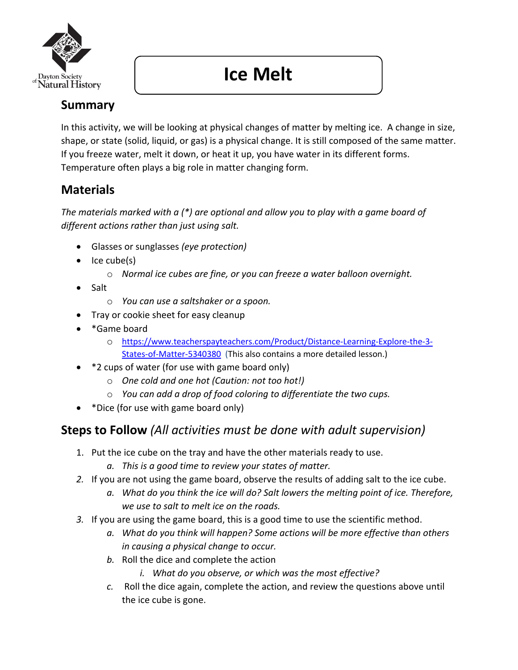

# **Ice Melt**

# **Summary**

In this activity, we will be looking at physical changes of matter by melting ice. A change in size, shape, or state (solid, liquid, or gas) is a physical change. It is still composed of the same matter. If you freeze water, melt it down, or heat it up, you have water in its different forms. Temperature often plays a big role in matter changing form.

## **Materials**

*The materials marked with a (\*) are optional and allow you to play with a game board of different actions rather than just using salt.* 

- Glasses or sunglasses *(eye protection)*
- Ice cube(s)
	- o *Normal ice cubes are fine, or you can freeze a water balloon overnight.*
- Salt
	- o *You can use a saltshaker or a spoon.*
- Tray or cookie sheet for easy cleanup
- \*Game board
	- o https://www.teacherspayteachers.com/Product/Distance-Learning-Explore-the-3- States-of-Matter-5340380 (This also contains a more detailed lesson.)
- \*2 cups of water (for use with game board only)
	- o *One cold and one hot (Caution: not too hot!)*
	- o *You can add a drop of food coloring to differentiate the two cups.*
- \*Dice (for use with game board only)

## **Steps to Follow** *(All activities must be done with adult supervision)*

- 1. Put the ice cube on the tray and have the other materials ready to use.
	- *a. This is a good time to review your states of matter.*
- *2.* If you are not using the game board, observe the results of adding salt to the ice cube.
	- *a. What do you think the ice will do? Salt lowers the melting point of ice. Therefore, we use to salt to melt ice on the roads.*
- *3.* If you are using the game board, this is a good time to use the scientific method.
	- *a. What do you think will happen? Some actions will be more effective than others in causing a physical change to occur.*
	- *b.* Roll the dice and complete the action
		- *i. What do you observe, or which was the most effective?*
	- *c.* Roll the dice again, complete the action, and review the questions above until the ice cube is gone.